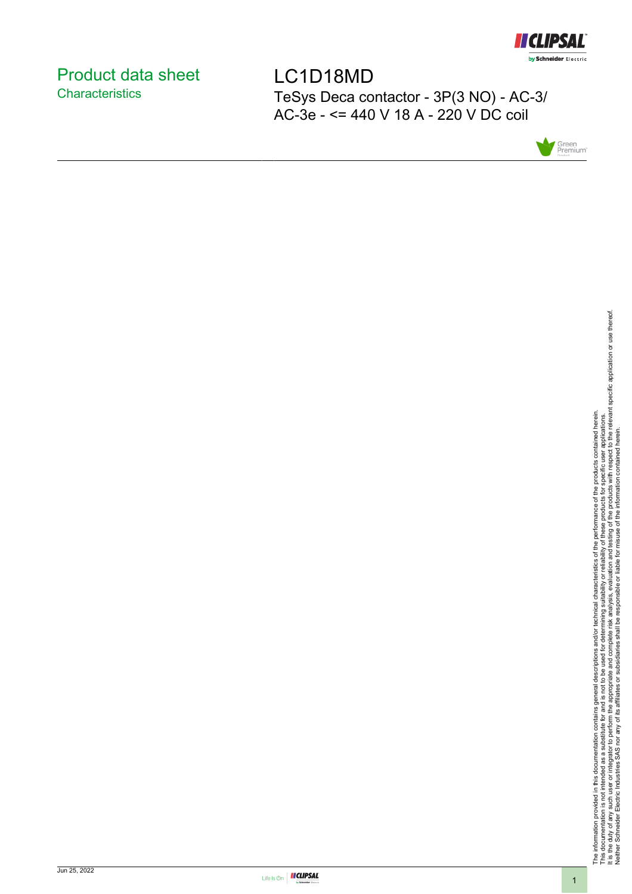

## <span id="page-0-0"></span>Product data sheet **Characteristics**

LC1D18MD TeSys Deca contactor - 3P(3 NO) - AC-3/ AC-3e - <= 440 V 18 A - 220 V DC coil



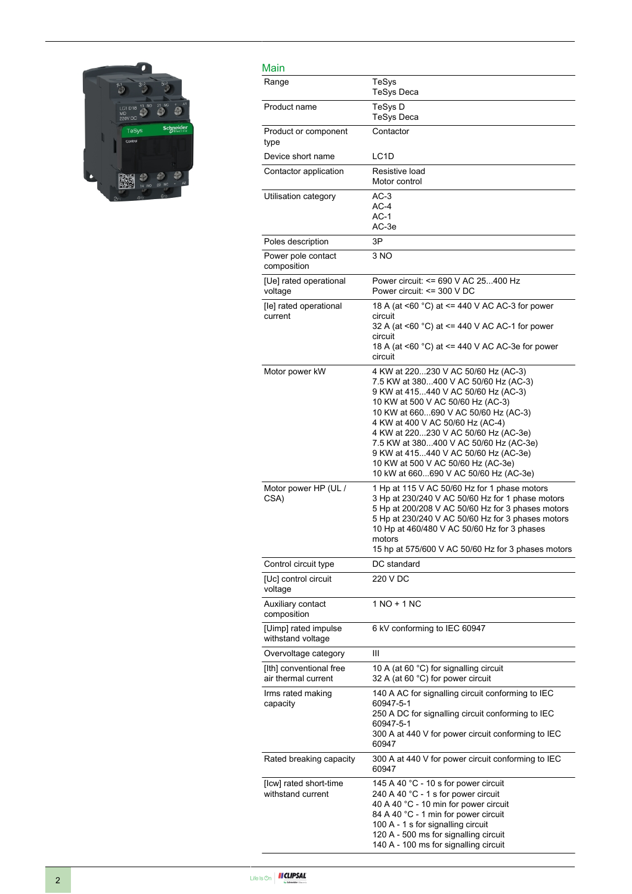

| Main                                           |                                                                                                                                                                                                                                                                                                                                                                                                                                               |
|------------------------------------------------|-----------------------------------------------------------------------------------------------------------------------------------------------------------------------------------------------------------------------------------------------------------------------------------------------------------------------------------------------------------------------------------------------------------------------------------------------|
| Range                                          | TeSys<br><b>TeSys Deca</b>                                                                                                                                                                                                                                                                                                                                                                                                                    |
| Product name                                   | TeSys D<br>TeSys Deca                                                                                                                                                                                                                                                                                                                                                                                                                         |
| Product or component<br>type                   | Contactor                                                                                                                                                                                                                                                                                                                                                                                                                                     |
| Device short name                              | LC <sub>1</sub> D                                                                                                                                                                                                                                                                                                                                                                                                                             |
| Contactor application                          | Resistive load<br>Motor control                                                                                                                                                                                                                                                                                                                                                                                                               |
| Utilisation category                           | $AC-3$<br>$AC-4$<br>$AC-1$<br>AC-3e                                                                                                                                                                                                                                                                                                                                                                                                           |
| Poles description                              | 3P                                                                                                                                                                                                                                                                                                                                                                                                                                            |
| Power pole contact<br>composition              | 3 NO                                                                                                                                                                                                                                                                                                                                                                                                                                          |
| [Ue] rated operational<br>voltage              | Power circuit: <= 690 V AC 25400 Hz<br>Power circuit: $\leq$ 300 V DC                                                                                                                                                                                                                                                                                                                                                                         |
| [le] rated operational<br>current              | 18 A (at <60 °C) at <= 440 V AC AC-3 for power<br>circuit<br>32 A (at <60 °C) at <= 440 V AC AC-1 for power<br>circuit<br>18 A (at <60 °C) at <= 440 V AC AC-3e for power<br>circuit                                                                                                                                                                                                                                                          |
| Motor power kW                                 | 4 KW at 220230 V AC 50/60 Hz (AC-3)<br>7.5 KW at 380400 V AC 50/60 Hz (AC-3)<br>9 KW at 415440 V AC 50/60 Hz (AC-3)<br>10 KW at 500 V AC 50/60 Hz (AC-3)<br>10 KW at 660690 V AC 50/60 Hz (AC-3)<br>4 KW at 400 V AC 50/60 Hz (AC-4)<br>4 KW at 220230 V AC 50/60 Hz (AC-3e)<br>7.5 KW at 380400 V AC 50/60 Hz (AC-3e)<br>9 KW at 415440 V AC 50/60 Hz (AC-3e)<br>10 KW at 500 V AC 50/60 Hz (AC-3e)<br>10 kW at 660690 V AC 50/60 Hz (AC-3e) |
| Motor power HP (UL /<br>CSA)                   | 1 Hp at 115 V AC 50/60 Hz for 1 phase motors<br>3 Hp at 230/240 V AC 50/60 Hz for 1 phase motors<br>5 Hp at 200/208 V AC 50/60 Hz for 3 phases motors<br>5 Hp at 230/240 V AC 50/60 Hz for 3 phases motors<br>10 Hp at 460/480 V AC 50/60 Hz for 3 phases<br>motors<br>15 hp at 575/600 V AC 50/60 Hz for 3 phases motors                                                                                                                     |
| Control circuit type                           | DC standard                                                                                                                                                                                                                                                                                                                                                                                                                                   |
| [Uc] control circuit<br>voltage                | 220 V DC                                                                                                                                                                                                                                                                                                                                                                                                                                      |
| Auxiliary contact<br>composition               | 1 NO + 1 NC                                                                                                                                                                                                                                                                                                                                                                                                                                   |
| [Uimp] rated impulse<br>withstand voltage      | 6 kV conforming to IEC 60947                                                                                                                                                                                                                                                                                                                                                                                                                  |
| Overvoltage category                           | Ш                                                                                                                                                                                                                                                                                                                                                                                                                                             |
| [Ith] conventional free<br>air thermal current | 10 A (at 60 °C) for signalling circuit<br>32 A (at 60 °C) for power circuit                                                                                                                                                                                                                                                                                                                                                                   |
| Irms rated making<br>capacity                  | 140 A AC for signalling circuit conforming to IEC<br>60947-5-1<br>250 A DC for signalling circuit conforming to IEC<br>60947-5-1<br>300 A at 440 V for power circuit conforming to IEC<br>60947                                                                                                                                                                                                                                               |
| Rated breaking capacity                        | 300 A at 440 V for power circuit conforming to IEC<br>60947                                                                                                                                                                                                                                                                                                                                                                                   |
| [Icw] rated short-time<br>withstand current    | 145 A 40 °C - 10 s for power circuit<br>240 A 40 °C - 1 s for power circuit<br>40 A 40 °C - 10 min for power circuit<br>84 A 40 °C - 1 min for power circuit<br>100 A - 1 s for signalling circuit<br>120 A - 500 ms for signalling circuit<br>140 A - 100 ms for signalling circuit                                                                                                                                                          |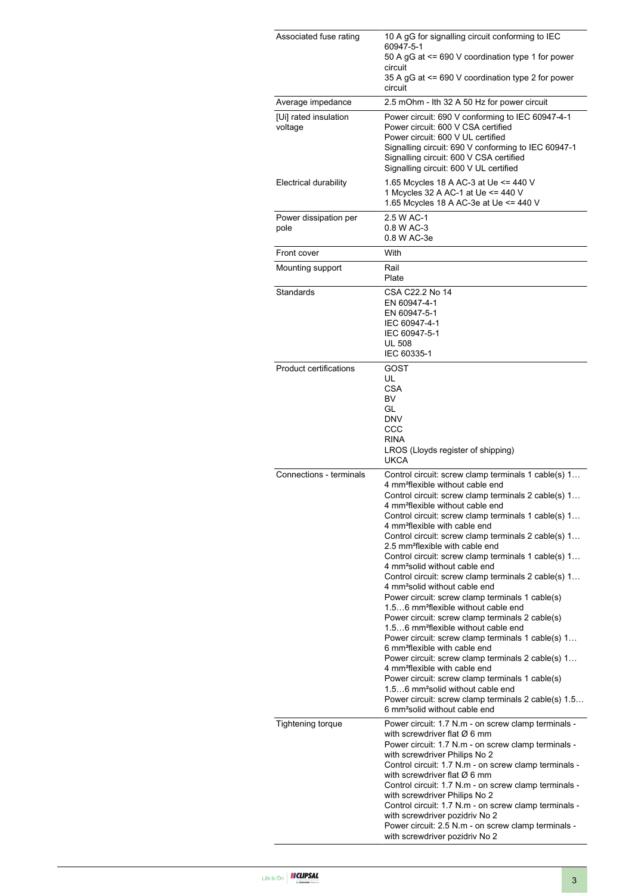| Associated fuse rating           | 10 A gG for signalling circuit conforming to IEC<br>60947-5-1<br>50 A gG at <= 690 V coordination type 1 for power<br>circuit<br>35 A gG at <= 690 V coordination type 2 for power                                                                                                                                                                                                                                                                                                                                                                                                                                                                                                                                                                                                                                                                                                                                                                                                                                                                                                                                                                                                                                                                  |
|----------------------------------|-----------------------------------------------------------------------------------------------------------------------------------------------------------------------------------------------------------------------------------------------------------------------------------------------------------------------------------------------------------------------------------------------------------------------------------------------------------------------------------------------------------------------------------------------------------------------------------------------------------------------------------------------------------------------------------------------------------------------------------------------------------------------------------------------------------------------------------------------------------------------------------------------------------------------------------------------------------------------------------------------------------------------------------------------------------------------------------------------------------------------------------------------------------------------------------------------------------------------------------------------------|
|                                  | circuit                                                                                                                                                                                                                                                                                                                                                                                                                                                                                                                                                                                                                                                                                                                                                                                                                                                                                                                                                                                                                                                                                                                                                                                                                                             |
| Average impedance                | 2.5 mOhm - Ith 32 A 50 Hz for power circuit                                                                                                                                                                                                                                                                                                                                                                                                                                                                                                                                                                                                                                                                                                                                                                                                                                                                                                                                                                                                                                                                                                                                                                                                         |
| [Ui] rated insulation<br>voltage | Power circuit: 690 V conforming to IEC 60947-4-1<br>Power circuit: 600 V CSA certified<br>Power circuit: 600 V UL certified<br>Signalling circuit: 690 V conforming to IEC 60947-1<br>Signalling circuit: 600 V CSA certified<br>Signalling circuit: 600 V UL certified                                                                                                                                                                                                                                                                                                                                                                                                                                                                                                                                                                                                                                                                                                                                                                                                                                                                                                                                                                             |
| Electrical durability            | 1.65 Mcycles 18 A AC-3 at Ue <= 440 V<br>1 Mcycles 32 A AC-1 at Ue <= 440 V<br>1.65 Mcycles 18 A AC-3e at Ue <= 440 V                                                                                                                                                                                                                                                                                                                                                                                                                                                                                                                                                                                                                                                                                                                                                                                                                                                                                                                                                                                                                                                                                                                               |
| Power dissipation per<br>pole    | 2.5 W AC-1<br>0.8 W AC-3<br>0.8 W AC-3e                                                                                                                                                                                                                                                                                                                                                                                                                                                                                                                                                                                                                                                                                                                                                                                                                                                                                                                                                                                                                                                                                                                                                                                                             |
| Front cover                      | With                                                                                                                                                                                                                                                                                                                                                                                                                                                                                                                                                                                                                                                                                                                                                                                                                                                                                                                                                                                                                                                                                                                                                                                                                                                |
| Mounting support                 | Rail<br>Plate                                                                                                                                                                                                                                                                                                                                                                                                                                                                                                                                                                                                                                                                                                                                                                                                                                                                                                                                                                                                                                                                                                                                                                                                                                       |
| Standards                        | CSA C22.2 No 14<br>EN 60947-4-1<br>EN 60947-5-1<br>IEC 60947-4-1<br>IEC 60947-5-1<br><b>UL 508</b><br>IEC 60335-1                                                                                                                                                                                                                                                                                                                                                                                                                                                                                                                                                                                                                                                                                                                                                                                                                                                                                                                                                                                                                                                                                                                                   |
| <b>Product certifications</b>    | GOST<br>UL<br><b>CSA</b><br><b>BV</b><br>GL<br><b>DNV</b><br>CCC<br><b>RINA</b><br>LROS (Lloyds register of shipping)<br><b>UKCA</b>                                                                                                                                                                                                                                                                                                                                                                                                                                                                                                                                                                                                                                                                                                                                                                                                                                                                                                                                                                                                                                                                                                                |
| Connections - terminals          | Control circuit: screw clamp terminals 1 cable(s) 1<br>4 mm <sup>2</sup> flexible without cable end<br>Control circuit: screw clamp terminals 2 cable(s) 1<br>4 mm <sup>2</sup> flexible without cable end<br>Control circuit: screw clamp terminals 1 cable(s) 1<br>4 mm <sup>2</sup> flexible with cable end<br>Control circuit: screw clamp terminals 2 cable(s) 1<br>2.5 mm <sup>2</sup> flexible with cable end<br>Control circuit: screw clamp terminals 1 cable(s) 1<br>4 mm <sup>2</sup> solid without cable end<br>Control circuit: screw clamp terminals 2 cable(s) 1<br>4 mm <sup>2</sup> solid without cable end<br>Power circuit: screw clamp terminals 1 cable(s)<br>1.56 mm <sup>2</sup> flexible without cable end<br>Power circuit: screw clamp terminals 2 cable(s)<br>1.56 mm <sup>2</sup> flexible without cable end<br>Power circuit: screw clamp terminals 1 cable(s) 1<br>6 mm <sup>2</sup> flexible with cable end<br>Power circuit: screw clamp terminals 2 cable(s) 1<br>4 mm <sup>2</sup> flexible with cable end<br>Power circuit: screw clamp terminals 1 cable(s)<br>1.56 mm <sup>2</sup> solid without cable end<br>Power circuit: screw clamp terminals 2 cable(s) 1.5<br>6 mm <sup>2</sup> solid without cable end |
| Tightening torque                | Power circuit: 1.7 N.m - on screw clamp terminals -<br>with screwdriver flat $\varnothing$ 6 mm<br>Power circuit: 1.7 N.m - on screw clamp terminals -<br>with screwdriver Philips No 2<br>Control circuit: 1.7 N.m - on screw clamp terminals -<br>with screwdriver flat $\varnothing$ 6 mm<br>Control circuit: 1.7 N.m - on screw clamp terminals -<br>with screwdriver Philips No 2<br>Control circuit: 1.7 N.m - on screw clamp terminals -<br>with screwdriver pozidriv No 2<br>Power circuit: 2.5 N.m - on screw clamp terminals -<br>with screwdriver pozidriv No 2                                                                                                                                                                                                                                                                                                                                                                                                                                                                                                                                                                                                                                                                          |

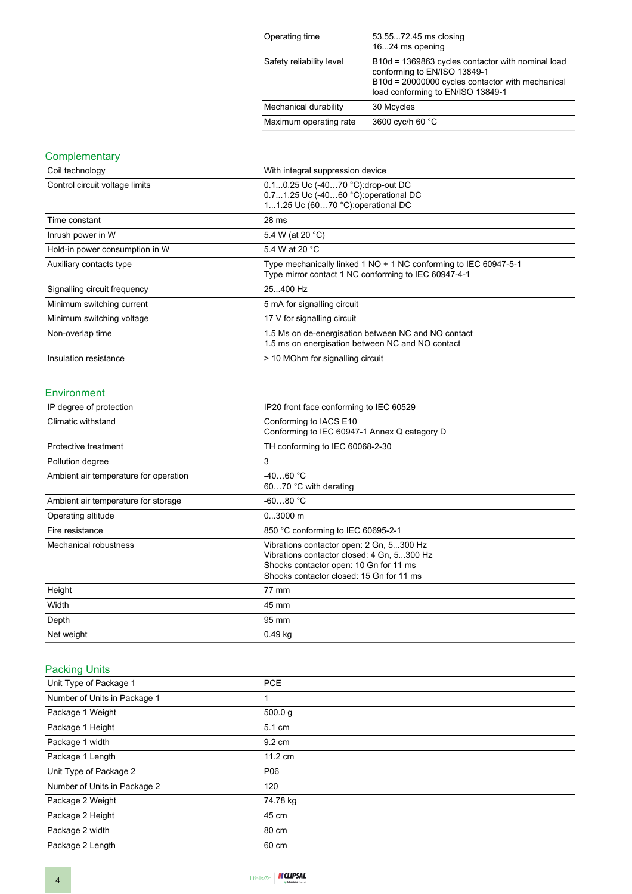| Operating time           | 53.5572.45 ms closing<br>1624 ms opening                                                                                                                                   |
|--------------------------|----------------------------------------------------------------------------------------------------------------------------------------------------------------------------|
| Safety reliability level | B10d = 1369863 cycles contactor with nominal load<br>conforming to EN/ISO 13849-1<br>B10d = 20000000 cycles contactor with mechanical<br>load conforming to EN/ISO 13849-1 |
| Mechanical durability    | 30 Mcycles                                                                                                                                                                 |
| Maximum operating rate   | 3600 cyc/h 60 °C                                                                                                                                                           |

### **Complementary**

| Coil technology                | With integral suppression device                                                                                         |
|--------------------------------|--------------------------------------------------------------------------------------------------------------------------|
| Control circuit voltage limits | 0.10.25 Uc (-4070 °C): drop-out DC<br>0.71.25 Uc (-4060 °C): operational DC<br>11.25 Uc (6070 °C): operational DC        |
| Time constant                  | 28 ms                                                                                                                    |
| Inrush power in W              | 5.4 W (at 20 °C)                                                                                                         |
| Hold-in power consumption in W | 5.4 W at 20 °C                                                                                                           |
| Auxiliary contacts type        | Type mechanically linked 1 NO + 1 NC conforming to IEC 60947-5-1<br>Type mirror contact 1 NC conforming to IEC 60947-4-1 |
| Signalling circuit frequency   | 25400 Hz                                                                                                                 |
| Minimum switching current      | 5 mA for signalling circuit                                                                                              |
| Minimum switching voltage      | 17 V for signalling circuit                                                                                              |
| Non-overlap time               | 1.5 Ms on de-energisation between NC and NO contact<br>1.5 ms on energisation between NC and NO contact                  |
| Insulation resistance          | > 10 MOhm for signalling circuit                                                                                         |

#### Environment

| IP degree of protection               | IP20 front face conforming to IEC 60529                                                                                                                                      |  |
|---------------------------------------|------------------------------------------------------------------------------------------------------------------------------------------------------------------------------|--|
| Climatic withstand                    | Conforming to IACS E10<br>Conforming to IEC 60947-1 Annex Q category D                                                                                                       |  |
| Protective treatment                  | TH conforming to IEC 60068-2-30                                                                                                                                              |  |
| Pollution degree                      | 3                                                                                                                                                                            |  |
| Ambient air temperature for operation | $-4060 °C$<br>6070 °C with derating                                                                                                                                          |  |
| Ambient air temperature for storage   | $-6080 °C$                                                                                                                                                                   |  |
| Operating altitude                    | $03000$ m                                                                                                                                                                    |  |
| Fire resistance                       | 850 °C conforming to IEC 60695-2-1                                                                                                                                           |  |
| Mechanical robustness                 | Vibrations contactor open: 2 Gn, 5300 Hz<br>Vibrations contactor closed: 4 Gn, 5300 Hz<br>Shocks contactor open: 10 Gn for 11 ms<br>Shocks contactor closed: 15 Gn for 11 ms |  |
| Height                                | 77 mm                                                                                                                                                                        |  |
| Width                                 | 45 mm                                                                                                                                                                        |  |
| Depth                                 | 95 mm                                                                                                                                                                        |  |
| Net weight                            | $0.49$ kg                                                                                                                                                                    |  |

#### Packing Units

| Unit Type of Package 1       | <b>PCE</b>       |  |
|------------------------------|------------------|--|
| Number of Units in Package 1 | 1                |  |
| Package 1 Weight             | 500.0 g          |  |
| Package 1 Height             | 5.1 cm           |  |
| Package 1 width              | $9.2 \text{ cm}$ |  |
| Package 1 Length             | 11.2 cm          |  |
| Unit Type of Package 2       | P06              |  |
| Number of Units in Package 2 | 120              |  |
| Package 2 Weight             | 74.78 kg         |  |
| Package 2 Height             | 45 cm            |  |
| Package 2 width              | 80 cm            |  |
| Package 2 Length             | 60 cm            |  |
|                              |                  |  |